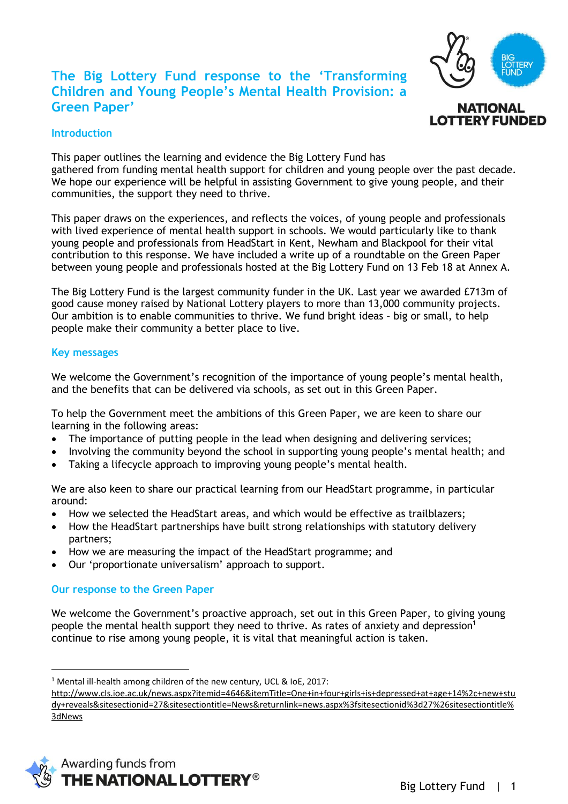# **The Big Lottery Fund response to the 'Transforming Children and Young People's Mental Health Provision: a Green Paper'**



**NATIONAL LOTTERY FUNDED** 

#### **Introduction**

This paper outlines the learning and evidence the Big Lottery Fund has gathered from funding mental health support for children and young people over the past decade. We hope our experience will be helpful in assisting Government to give young people, and their communities, the support they need to thrive.

This paper draws on the experiences, and reflects the voices, of young people and professionals with lived experience of mental health support in schools. We would particularly like to thank young people and professionals from HeadStart in Kent, Newham and Blackpool for their vital contribution to this response. We have included a write up of a roundtable on the Green Paper between young people and professionals hosted at the Big Lottery Fund on 13 Feb 18 at Annex A.

The Big Lottery Fund is the largest community funder in the UK. Last year we awarded £713m of good cause money raised by National Lottery players to more than 13,000 community projects. Our ambition is to enable communities to thrive. We fund bright ideas – big or small, to help people make their community a better place to live.

#### **Key messages**

 $\overline{a}$ 

We welcome the Government's recognition of the importance of young people's mental health, and the benefits that can be delivered via schools, as set out in this Green Paper.

To help the Government meet the ambitions of this Green Paper, we are keen to share our learning in the following areas:

- The importance of putting people in the lead when designing and delivering services;
- Involving the community beyond the school in supporting young people's mental health; and
- Taking a lifecycle approach to improving young people's mental health.

We are also keen to share our practical learning from our HeadStart programme, in particular around:

- x How we selected the HeadStart areas, and which would be effective as trailblazers;
- How the HeadStart partnerships have built strong relationships with statutory delivery partners;
- How we are measuring the impact of the HeadStart programme; and
- Our 'proportionate universalism' approach to support.

## **Our response to the Green Paper**

We welcome the Government's proactive approach, set out in this Green Paper, to giving young people the mental health support they need to thrive. As rates of anxiety and depression<sup>1</sup> continue to rise among young people, it is vital that meaningful action is taken.

[http://www.cls.ioe.ac.uk/news.aspx?itemid=4646&itemTitle=One+in+four+girls+is+depressed+at+age+14%2c+new+stu](http://www.cls.ioe.ac.uk/news.aspx?itemid=4646&itemTitle=One+in+four+girls+is+depressed+at+age+14%2c+new+study+reveals&sitesectionid=27&sitesectiontitle=News&returnlink=news.aspx%3fsitesectionid%3d27%26sitesectiontitle%3dNews) [dy+reveals&sitesectionid=27&sitesectiontitle=News&returnlink=news.aspx%3fsitesectionid%3d27%26sitesectiontitle%](http://www.cls.ioe.ac.uk/news.aspx?itemid=4646&itemTitle=One+in+four+girls+is+depressed+at+age+14%2c+new+study+reveals&sitesectionid=27&sitesectiontitle=News&returnlink=news.aspx%3fsitesectionid%3d27%26sitesectiontitle%3dNews) [3dNews](http://www.cls.ioe.ac.uk/news.aspx?itemid=4646&itemTitle=One+in+four+girls+is+depressed+at+age+14%2c+new+study+reveals&sitesectionid=27&sitesectiontitle=News&returnlink=news.aspx%3fsitesectionid%3d27%26sitesectiontitle%3dNews)



<sup>&</sup>lt;sup>1</sup> Mental ill-health among children of the new century, UCL & IoE, 2017: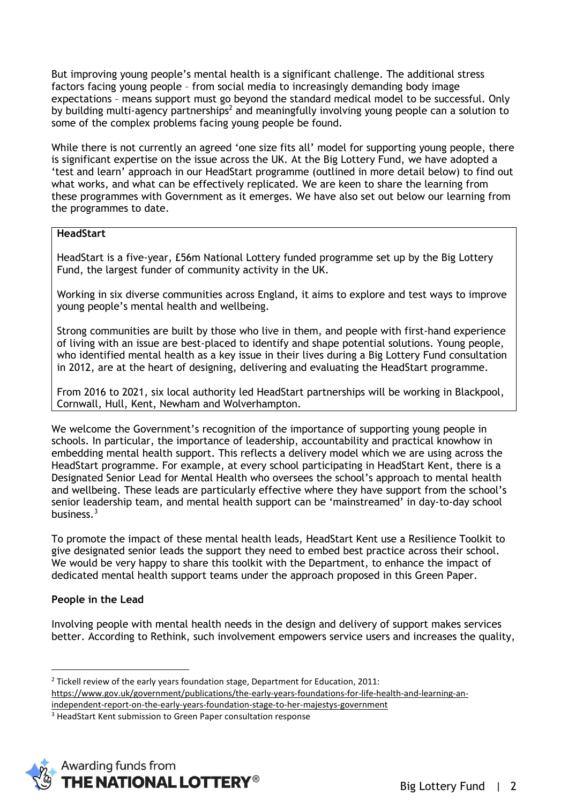But improving young people's mental health is a significant challenge. The additional stress factors facing young people – from social media to increasingly demanding body image expectations – means support must go beyond the standard medical model to be successful. Only by building multi-agency partnerships<sup>2</sup> and meaningfully involving young people can a solution to some of the complex problems facing young people be found.

While there is not currently an agreed 'one size fits all' model for supporting young people, there is significant expertise on the issue across the UK. At the Big Lottery Fund, we have adopted a 'test and learn' approach in our HeadStart programme (outlined in more detail below) to find out what works, and what can be effectively replicated. We are keen to share the learning from these programmes with Government as it emerges. We have also set out below our learning from the programmes to date.

## **HeadStart**

HeadStart is a five-year, £56m National Lottery funded programme set up by the Big Lottery Fund, the largest funder of community activity in the UK.

Working in six diverse communities across England, it aims to explore and test ways to improve young people's mental health and wellbeing.

Strong communities are built by those who live in them, and people with first-hand experience of living with an issue are best-placed to identify and shape potential solutions. Young people, who identified mental health as a key issue in their lives during a Big Lottery Fund consultation in 2012, are at the heart of designing, delivering and evaluating the HeadStart programme.

From 2016 to 2021, six local authority led HeadStart partnerships will be working in Blackpool, Cornwall, Hull, Kent, Newham and Wolverhampton.

We welcome the Government's recognition of the importance of supporting young people in schools. In particular, the importance of leadership, accountability and practical knowhow in embedding mental health support. This reflects a delivery model which we are using across the HeadStart programme. For example, at every school participating in HeadStart Kent, there is a Designated Senior Lead for Mental Health who oversees the school's approach to mental health and wellbeing. These leads are particularly effective where they have support from the school's senior leadership team, and mental health support can be 'mainstreamed' in day-to-day school business.<sup>3</sup>

To promote the impact of these mental health leads, HeadStart Kent use a Resilience Toolkit to give designated senior leads the support they need to embed best practice across their school. We would be very happy to share this toolkit with the Department, to enhance the impact of dedicated mental health support teams under the approach proposed in this Green Paper.

## **People in the Lead**

 $\overline{a}$ 

Involving people with mental health needs in the design and delivery of support makes services better. According to Rethink, such involvement empowers service users and increases the quality,

<sup>2</sup> Tickell review of the early years foundation stage, Department for Education, 2011: [https://www.gov.uk/government/publications/the-early-years-foundations-for-life-health-and-learning-an](https://www.gov.uk/government/publications/the-early-years-foundations-for-life-health-and-learning-an-independent-report-on-the-early-years-foundation-stage-to-her-majestys-government)[independent-report-on-the-early-years-foundation-stage-to-her-majestys-government](https://www.gov.uk/government/publications/the-early-years-foundations-for-life-health-and-learning-an-independent-report-on-the-early-years-foundation-stage-to-her-majestys-government)

<sup>3</sup> HeadStart Kent submission to Green Paper consultation response

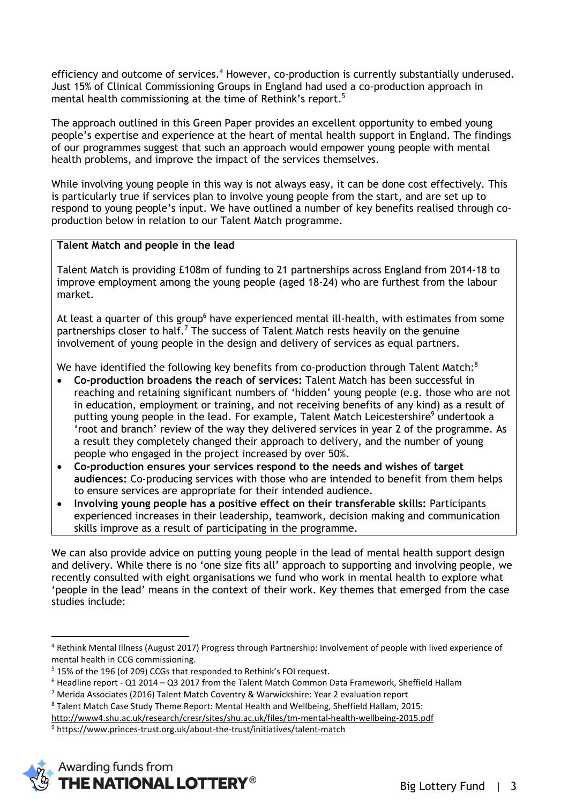efficiency and outcome of services.<sup>4</sup> However, co-production is currently substantially underused. Just 15% of Clinical Commissioning Groups in England had used a co-production approach in mental health commissioning at the time of Rethink's report.<sup>5</sup>

The approach outlined in this Green Paper provides an excellent opportunity to embed young people's expertise and experience at the heart of mental health support in England. The findings of our programmes suggest that such an approach would empower young people with mental health problems, and improve the impact of the services themselves.

While involving young people in this way is not always easy, it can be done cost effectively. This is particularly true if services plan to involve young people from the start, and are set up to respond to young people's input. We have outlined a number of key benefits realised through coproduction below in relation to our Talent Match programme.

# **Talent Match and people in the lead**

Talent Match is providing £108m of funding to 21 partnerships across England from 2014-18 to improve employment among the young people (aged 18-24) who are furthest from the labour market.

At least a quarter of this group<sup>6</sup> have experienced mental ill-health, with estimates from some partnerships closer to half.<sup>7</sup> The success of Talent Match rests heavily on the genuine involvement of young people in the design and delivery of services as equal partners.

We have identified the following key benefits from co-production through Talent Match:<sup>8</sup>

- x **Co-production broadens the reach of services:** Talent Match has been successful in reaching and retaining significant numbers of 'hidden' young people (e.g. those who are not in education, employment or training, and not receiving benefits of any kind) as a result of putting young people in the lead. For example, Talent Match Leicestershire<sup>9</sup> undertook a 'root and branch' review of the way they delivered services in year 2 of the programme. As a result they completely changed their approach to delivery, and the number of young people who engaged in the project increased by over 50%.
- x **Co-production ensures your services respond to the needs and wishes of target audiences:** Co-producing services with those who are intended to benefit from them helps to ensure services are appropriate for their intended audience.
- x **Involving young people has a positive effect on their transferable skills:** Participants experienced increases in their leadership, teamwork, decision making and communication skills improve as a result of participating in the programme.

We can also provide advice on putting young people in the lead of mental health support design and delivery. While there is no 'one size fits all' approach to supporting and involving people, we recently consulted with eight organisations we fund who work in mental health to explore what 'people in the lead' means in the context of their work. Key themes that emerged from the case studies include:

<sup>9</sup> <https://www.princes-trust.org.uk/about-the-trust/initiatives/talent-match>



<sup>4</sup> Rethink Mental Illness (August 2017) Progress through Partnership: Involvement of people with lived experience of mental health in CCG commissioning.

<sup>5</sup> 15% of the 196 (of 209) CCGs that responded to Rethink's FOI request.

 $6$  Headline report - Q1 2014 – Q3 2017 from the Talent Match Common Data Framework, Sheffield Hallam

<sup>7</sup> Merida Associates (2016) Talent Match Coventry & Warwickshire: Year 2 evaluation report

<sup>8</sup> Talent Match Case Study Theme Report: Mental Health and Wellbeing, Sheffield Hallam, 2015:

<http://www4.shu.ac.uk/research/cresr/sites/shu.ac.uk/files/tm-mental-health-wellbeing-2015.pdf>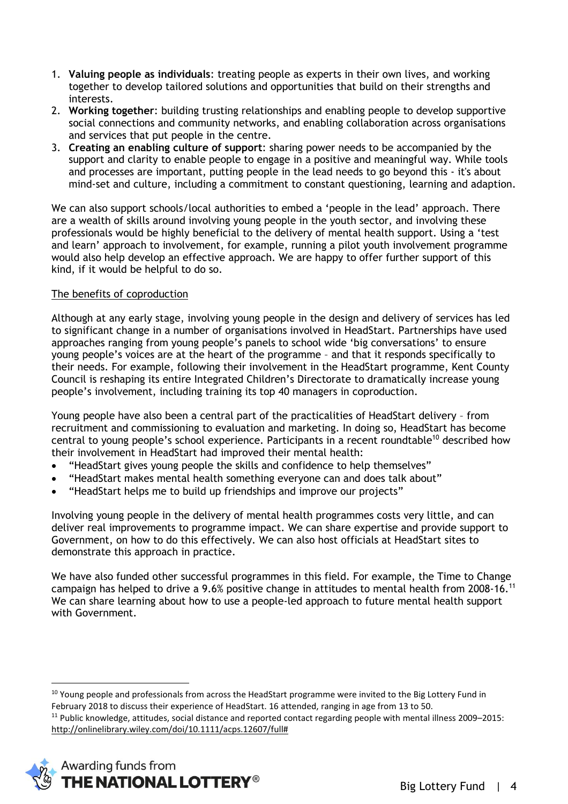- 1. **Valuing people as individuals**: treating people as experts in their own lives, and working together to develop tailored solutions and opportunities that build on their strengths and interests.
- 2. **Working together**: building trusting relationships and enabling people to develop supportive social connections and community networks, and enabling collaboration across organisations and services that put people in the centre.
- 3. **Creating an enabling culture of support**: sharing power needs to be accompanied by the support and clarity to enable people to engage in a positive and meaningful way. While tools and processes are important, putting people in the lead needs to go beyond this - it's about mind-set and culture, including a commitment to constant questioning, learning and adaption.

We can also support schools/local authorities to embed a 'people in the lead' approach. There are a wealth of skills around involving young people in the youth sector, and involving these professionals would be highly beneficial to the delivery of mental health support. Using a 'test and learn' approach to involvement, for example, running a pilot youth involvement programme would also help develop an effective approach. We are happy to offer further support of this kind, if it would be helpful to do so.

## The benefits of coproduction

Although at any early stage, involving young people in the design and delivery of services has led to significant change in a number of organisations involved in HeadStart. Partnerships have used approaches ranging from young people's panels to school wide 'big conversations' to ensure young people's voices are at the heart of the programme – and that it responds specifically to their needs. For example, following their involvement in the HeadStart programme, Kent County Council is reshaping its entire Integrated Children's Directorate to dramatically increase young people's involvement, including training its top 40 managers in coproduction.

Young people have also been a central part of the practicalities of HeadStart delivery – from recruitment and commissioning to evaluation and marketing. In doing so, HeadStart has become central to young people's school experience. Participants in a recent roundtable<sup>10</sup> described how their involvement in HeadStart had improved their mental health:

- "HeadStart gives young people the skills and confidence to help themselves"
- "HeadStart makes mental health something everyone can and does talk about"
- x "HeadStart helps me to build up friendships and improve our projects"

Involving young people in the delivery of mental health programmes costs very little, and can deliver real improvements to programme impact. We can share expertise and provide support to Government, on how to do this effectively. We can also host officials at HeadStart sites to demonstrate this approach in practice.

We have also funded other successful programmes in this field. For example, the Time to Change campaign has helped to drive a 9.6% positive change in attitudes to mental health from 2008-16.11 We can share learning about how to use a people-led approach to future mental health support with Government.

<sup>&</sup>lt;sup>10</sup> Young people and professionals from across the HeadStart programme were invited to the Big Lottery Fund in February 2018 to discuss their experience of HeadStart. 16 attended, ranging in age from 13 to 50. <sup>11</sup> Public knowledge, attitudes, social distance and reported contact regarding people with mental illness 2009–2015: [http://onlinelibrary.wiley.com/doi/10.1111/acps.12607/full#](http://onlinelibrary.wiley.com/doi/10.1111/acps.12607/full)

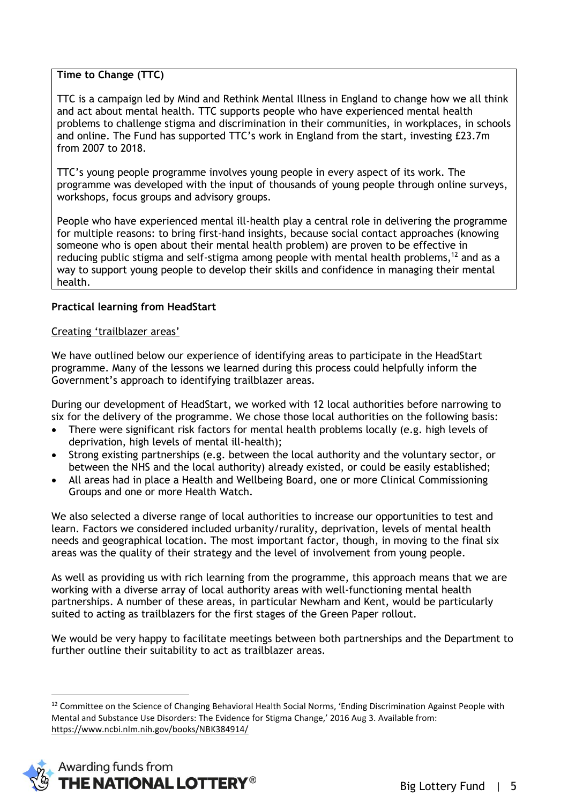## **Time to Change (TTC)**

TTC is a campaign led by Mind and Rethink Mental Illness in England to change how we all think and act about mental health. TTC supports people who have experienced mental health problems to challenge stigma and discrimination in their communities, in workplaces, in schools and online. The Fund has supported TTC's work in England from the start, investing £23.7m from 2007 to 2018.

TTC's young people programme involves young people in every aspect of its work. The programme was developed with the input of thousands of young people through online surveys, workshops, focus groups and advisory groups.

People who have experienced mental ill-health play a central role in delivering the programme for multiple reasons: to bring first-hand insights, because social contact approaches (knowing someone who is open about their mental health problem) are proven to be effective in reducing public stigma and self-stigma among people with mental health problems, $^{12}$  and as a way to support young people to develop their skills and confidence in managing their mental health.

## **Practical learning from HeadStart**

## Creating 'trailblazer areas'

We have outlined below our experience of identifying areas to participate in the HeadStart programme. Many of the lessons we learned during this process could helpfully inform the Government's approach to identifying trailblazer areas.

During our development of HeadStart, we worked with 12 local authorities before narrowing to six for the delivery of the programme. We chose those local authorities on the following basis:

- There were significant risk factors for mental health problems locally (e.g. high levels of deprivation, high levels of mental ill-health);
- Strong existing partnerships (e.g. between the local authority and the voluntary sector, or between the NHS and the local authority) already existed, or could be easily established;
- x All areas had in place a Health and Wellbeing Board, one or more Clinical Commissioning Groups and one or more Health Watch.

We also selected a diverse range of local authorities to increase our opportunities to test and learn. Factors we considered included urbanity/rurality, deprivation, levels of mental health needs and geographical location. The most important factor, though, in moving to the final six areas was the quality of their strategy and the level of involvement from young people.

As well as providing us with rich learning from the programme, this approach means that we are working with a diverse array of local authority areas with well-functioning mental health partnerships. A number of these areas, in particular Newham and Kent, would be particularly suited to acting as trailblazers for the first stages of the Green Paper rollout.

We would be very happy to facilitate meetings between both partnerships and the Department to further outline their suitability to act as trailblazer areas.

<sup>&</sup>lt;sup>12</sup> Committee on the Science of Changing Behavioral Health Social Norms, 'Ending Discrimination Against People with Mental and Substance Use Disorders: The Evidence for Stigma Change,' 2016 Aug 3. Available from: <https://www.ncbi.nlm.nih.gov/books/NBK384914/>

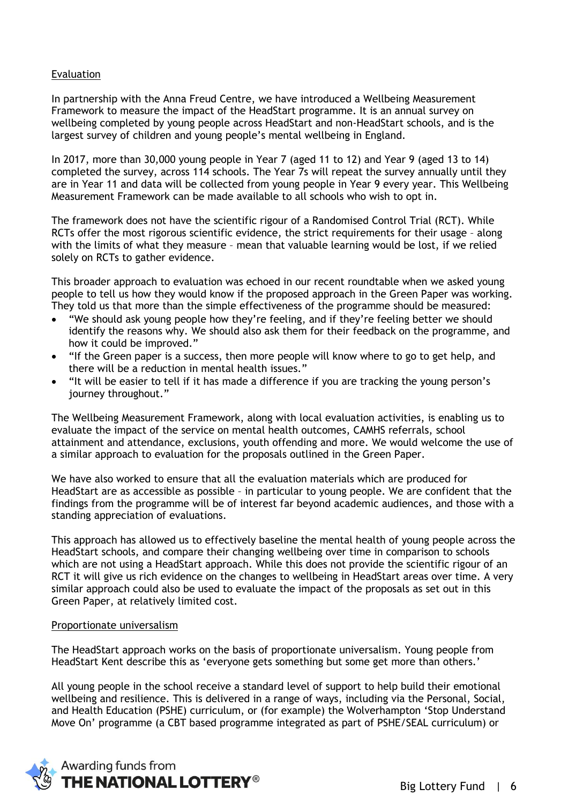# Evaluation

In partnership with the Anna Freud Centre, we have introduced a Wellbeing Measurement Framework to measure the impact of the HeadStart programme. It is an annual survey on wellbeing completed by young people across HeadStart and non-HeadStart schools, and is the largest survey of children and young people's mental wellbeing in England.

In 2017, more than 30,000 young people in Year 7 (aged 11 to 12) and Year 9 (aged 13 to 14) completed the survey, across 114 schools. The Year 7s will repeat the survey annually until they are in Year 11 and data will be collected from young people in Year 9 every year. This Wellbeing Measurement Framework can be made available to all schools who wish to opt in.

The framework does not have the scientific rigour of a Randomised Control Trial (RCT). While RCTs offer the most rigorous scientific evidence, the strict requirements for their usage – along with the limits of what they measure – mean that valuable learning would be lost, if we relied solely on RCTs to gather evidence.

This broader approach to evaluation was echoed in our recent roundtable when we asked young people to tell us how they would know if the proposed approach in the Green Paper was working. They told us that more than the simple effectiveness of the programme should be measured:

- "We should ask young people how they're feeling, and if they're feeling better we should identify the reasons why. We should also ask them for their feedback on the programme, and how it could be improved."
- "If the Green paper is a success, then more people will know where to go to get help, and there will be a reduction in mental health issues."
- x "It will be easier to tell if it has made a difference if you are tracking the young person's journey throughout."

The Wellbeing Measurement Framework, along with local evaluation activities, is enabling us to evaluate the impact of the service on mental health outcomes, CAMHS referrals, school attainment and attendance, exclusions, youth offending and more. We would welcome the use of a similar approach to evaluation for the proposals outlined in the Green Paper.

We have also worked to ensure that all the evaluation materials which are produced for HeadStart are as accessible as possible – in particular to young people. We are confident that the findings from the programme will be of interest far beyond academic audiences, and those with a standing appreciation of evaluations.

This approach has allowed us to effectively baseline the mental health of young people across the HeadStart schools, and compare their changing wellbeing over time in comparison to schools which are not using a HeadStart approach. While this does not provide the scientific rigour of an RCT it will give us rich evidence on the changes to wellbeing in HeadStart areas over time. A very similar approach could also be used to evaluate the impact of the proposals as set out in this Green Paper, at relatively limited cost.

#### Proportionate universalism

The HeadStart approach works on the basis of proportionate universalism. Young people from HeadStart Kent describe this as 'everyone gets something but some get more than others.'

All young people in the school receive a standard level of support to help build their emotional wellbeing and resilience. This is delivered in a range of ways, including via the Personal, Social, and Health Education (PSHE) curriculum, or (for example) the Wolverhampton 'Stop Understand Move On' programme (a CBT based programme integrated as part of PSHE/SEAL curriculum) or

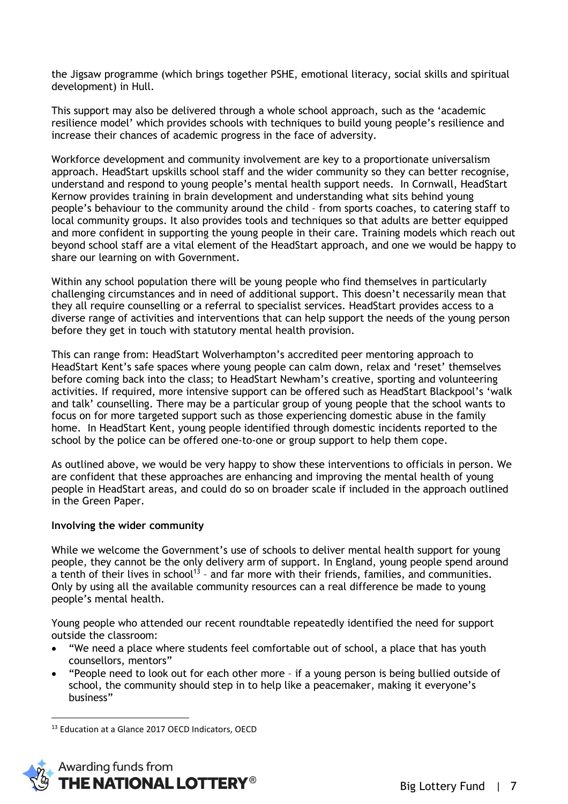the Jigsaw programme (which brings together PSHE, emotional literacy, social skills and spiritual development) in Hull.

This support may also be delivered through a whole school approach, such as the 'academic resilience model' which provides schools with techniques to build young people's resilience and increase their chances of academic progress in the face of adversity.

Workforce development and community involvement are key to a proportionate universalism approach. HeadStart upskills school staff and the wider community so they can better recognise, understand and respond to young people's mental health support needs. In Cornwall, HeadStart Kernow provides training in brain development and understanding what sits behind young people's behaviour to the community around the child – from sports coaches, to catering staff to local community groups. It also provides tools and techniques so that adults are better equipped and more confident in supporting the young people in their care. Training models which reach out beyond school staff are a vital element of the HeadStart approach, and one we would be happy to share our learning on with Government.

Within any school population there will be young people who find themselves in particularly challenging circumstances and in need of additional support. This doesn't necessarily mean that they all require counselling or a referral to specialist services. HeadStart provides access to a diverse range of activities and interventions that can help support the needs of the young person before they get in touch with statutory mental health provision.

This can range from: HeadStart Wolverhampton's accredited peer mentoring approach to HeadStart Kent's safe spaces where young people can calm down, relax and 'reset' themselves before coming back into the class; to HeadStart Newham's creative, sporting and volunteering activities. If required, more intensive support can be offered such as HeadStart Blackpool's 'walk and talk' counselling. There may be a particular group of young people that the school wants to focus on for more targeted support such as those experiencing domestic abuse in the family home. In HeadStart Kent, young people identified through domestic incidents reported to the school by the police can be offered one-to-one or group support to help them cope.

As outlined above, we would be very happy to show these interventions to officials in person. We are confident that these approaches are enhancing and improving the mental health of young people in HeadStart areas, and could do so on broader scale if included in the approach outlined in the Green Paper.

## **Involving the wider community**

While we welcome the Government's use of schools to deliver mental health support for young people, they cannot be the only delivery arm of support. In England, young people spend around a tenth of their lives in school<sup>13</sup> - and far more with their friends, families, and communities. Only by using all the available community resources can a real difference be made to young people's mental health.

Young people who attended our recent roundtable repeatedly identified the need for support outside the classroom:

- "We need a place where students feel comfortable out of school, a place that has youth counsellors, mentors"
- x "People need to look out for each other more if a young person is being bullied outside of school, the community should step in to help like a peacemaker, making it everyone's business"

<sup>&</sup>lt;sup>13</sup> Education at a Glance 2017 OECD Indicators, OECD

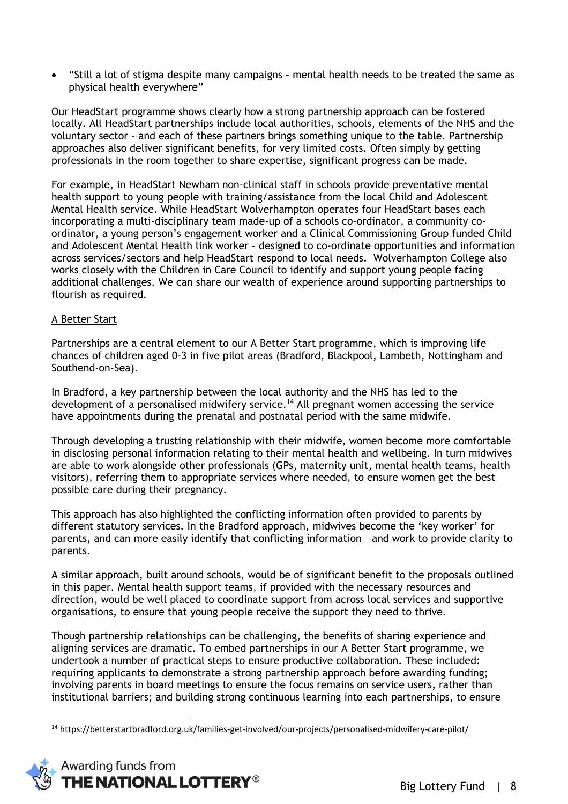x "Still a lot of stigma despite many campaigns – mental health needs to be treated the same as physical health everywhere"

Our HeadStart programme shows clearly how a strong partnership approach can be fostered locally. All HeadStart partnerships include local authorities, schools, elements of the NHS and the voluntary sector – and each of these partners brings something unique to the table. Partnership approaches also deliver significant benefits, for very limited costs. Often simply by getting professionals in the room together to share expertise, significant progress can be made.

For example, in HeadStart Newham non-clinical staff in schools provide preventative mental health support to young people with training/assistance from the local Child and Adolescent Mental Health service. While HeadStart Wolverhampton operates four HeadStart bases each incorporating a multi-disciplinary team made-up of a schools co-ordinator, a community coordinator, a young person's engagement worker and a Clinical Commissioning Group funded Child and Adolescent Mental Health link worker – designed to co-ordinate opportunities and information across services/sectors and help HeadStart respond to local needs. Wolverhampton College also works closely with the Children in Care Council to identify and support young people facing additional challenges. We can share our wealth of experience around supporting partnerships to flourish as required.

## A Better Start

Partnerships are a central element to our A Better Start programme, which is improving life chances of children aged 0-3 in five pilot areas (Bradford, Blackpool, Lambeth, Nottingham and Southend-on-Sea).

In Bradford, a key partnership between the local authority and the NHS has led to the development of a personalised midwifery service.<sup>14</sup> All pregnant women accessing the service have appointments during the prenatal and postnatal period with the same midwife.

Through developing a trusting relationship with their midwife, women become more comfortable in disclosing personal information relating to their mental health and wellbeing. In turn midwives are able to work alongside other professionals (GPs, maternity unit, mental health teams, health visitors), referring them to appropriate services where needed, to ensure women get the best possible care during their pregnancy.

This approach has also highlighted the conflicting information often provided to parents by different statutory services. In the Bradford approach, midwives become the 'key worker' for parents, and can more easily identify that conflicting information – and work to provide clarity to parents.

A similar approach, built around schools, would be of significant benefit to the proposals outlined in this paper. Mental health support teams, if provided with the necessary resources and direction, would be well placed to coordinate support from across local services and supportive organisations, to ensure that young people receive the support they need to thrive.

Though partnership relationships can be challenging, the benefits of sharing experience and aligning services are dramatic. To embed partnerships in our A Better Start programme, we undertook a number of practical steps to ensure productive collaboration. These included: requiring applicants to demonstrate a strong partnership approach before awarding funding; involving parents in board meetings to ensure the focus remains on service users, rather than institutional barriers; and building strong continuous learning into each partnerships, to ensure

<sup>14</sup> <https://betterstartbradford.org.uk/families-get-involved/our-projects/personalised-midwifery-care-pilot/>

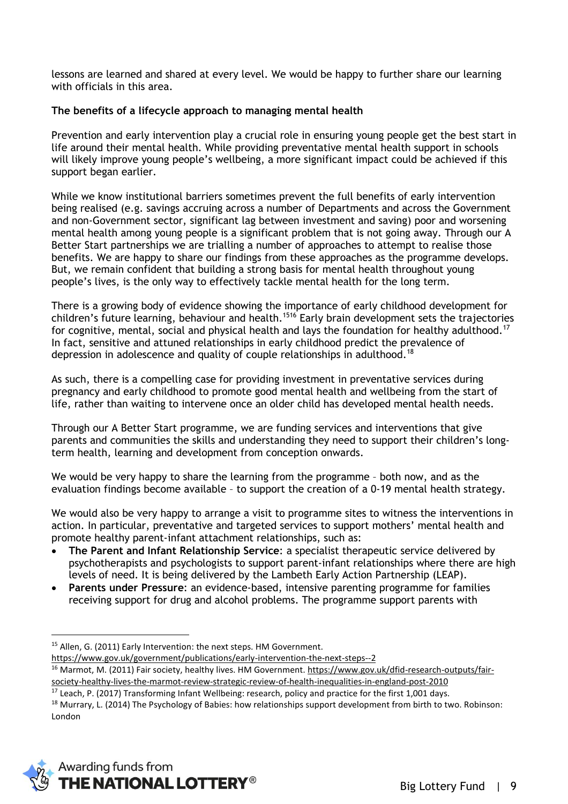lessons are learned and shared at every level. We would be happy to further share our learning with officials in this area.

## **The benefits of a lifecycle approach to managing mental health**

Prevention and early intervention play a crucial role in ensuring young people get the best start in life around their mental health. While providing preventative mental health support in schools will likely improve young people's wellbeing, a more significant impact could be achieved if this support began earlier.

While we know institutional barriers sometimes prevent the full benefits of early intervention being realised (e.g. savings accruing across a number of Departments and across the Government and non-Government sector, significant lag between investment and saving) poor and worsening mental health among young people is a significant problem that is not going away. Through our A Better Start partnerships we are trialling a number of approaches to attempt to realise those benefits. We are happy to share our findings from these approaches as the programme develops. But, we remain confident that building a strong basis for mental health throughout young people's lives, is the only way to effectively tackle mental health for the long term.

There is a growing body of evidence showing the importance of early childhood development for children's future learning, behaviour and health.<sup>1516</sup> Early brain development sets the trajectories for cognitive, mental, social and physical health and lays the foundation for healthy adulthood.<sup>17</sup> In fact, sensitive and attuned relationships in early childhood predict the prevalence of depression in adolescence and quality of couple relationships in adulthood.<sup>18</sup>

As such, there is a compelling case for providing investment in preventative services during pregnancy and early childhood to promote good mental health and wellbeing from the start of life, rather than waiting to intervene once an older child has developed mental health needs.

Through our A Better Start programme, we are funding services and interventions that give parents and communities the skills and understanding they need to support their children's longterm health, learning and development from conception onwards.

We would be very happy to share the learning from the programme – both now, and as the evaluation findings become available – to support the creation of a 0-19 mental health strategy.

We would also be very happy to arrange a visit to programme sites to witness the interventions in action. In particular, preventative and targeted services to support mothers' mental health and promote healthy parent-infant attachment relationships, such as:

- x **The Parent and Infant Relationship Service**: a specialist therapeutic service delivered by psychotherapists and psychologists to support parent-infant relationships where there are high levels of need. It is being delivered by the Lambeth Early Action Partnership (LEAP).
- x **Parents under Pressure**: an evidence-based, intensive parenting programme for families receiving support for drug and alcohol problems. The programme support parents with

<https://www.gov.uk/government/publications/early-intervention-the-next-steps--2>

<sup>&</sup>lt;sup>18</sup> Murrary, L. (2014) The Psychology of Babies: how relationships support development from birth to two. Robinson: London



<sup>&</sup>lt;sup>15</sup> Allen, G. (2011) Early Intervention: the next steps. HM Government.

<sup>&</sup>lt;sup>16</sup> Marmot, M. (2011) Fair society, healthy lives. HM Government. [https://www.gov.uk/dfid-research-outputs/fair](https://www.gov.uk/dfid-research-outputs/fair-society-healthy-lives-the-marmot-review-strategic-review-of-health-inequalities-in-england-post-2010)[society-healthy-lives-the-marmot-review-strategic-review-of-health-inequalities-in-england-post-2010](https://www.gov.uk/dfid-research-outputs/fair-society-healthy-lives-the-marmot-review-strategic-review-of-health-inequalities-in-england-post-2010)

<sup>&</sup>lt;sup>17</sup> Leach, P. (2017) Transforming Infant Wellbeing: research, policy and practice for the first 1,001 days.